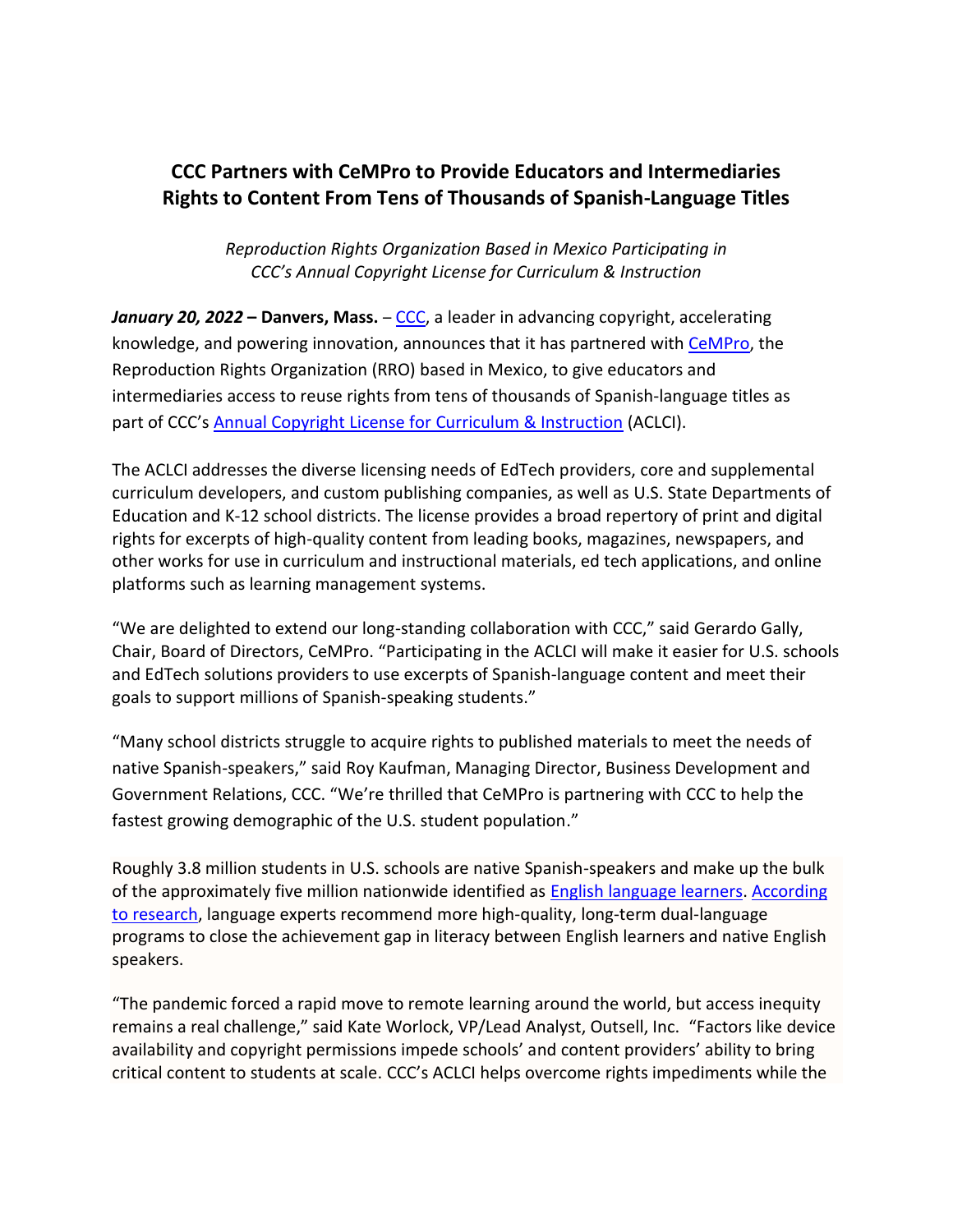## **CCC Partners with CeMPro to Provide Educators and Intermediaries Rights to Content From Tens of Thousands of Spanish-Language Titles**

*Reproduction Rights Organization Based in Mexico Participating in CCC's Annual Copyright License for Curriculum & Instruction*

**January 20, 2022 – Danvers, Mass.** – [CCC,](http://www.copyright.com/) a leader in advancing copyright, accelerating knowledge, and powering innovation, announces that it has partnered with [CeMPro,](https://www.ifrro.net/members/centro-mexicano-de-protecci%C3%B3n-y-fomento-de-los-derechos-de-autor) the Reproduction Rights Organization (RRO) based in Mexico, to give educators and intermediaries access to reuse rights from tens of thousands of Spanish-language titles as part of CCC's [Annual Copyright License for Curriculum & Instruction](https://www.copyright.com/annual-copyright-license-for-curriculum-instruction/) (ACLCI).

The ACLCI addresses the diverse licensing needs of EdTech providers, core and supplemental curriculum developers, and custom publishing companies, as well as U.S. State Departments of Education and K-12 school districts. The license provides a broad repertory of print and digital rights for excerpts of high-quality content from leading books, magazines, newspapers, and other works for use in curriculum and instructional materials, ed tech applications, and online platforms such as learning management systems.

"We are delighted to extend our long-standing collaboration with CCC," said Gerardo Gally, Chair, Board of Directors, CeMPro. "Participating in the ACLCI will make it easier for U.S. schools and EdTech solutions providers to use excerpts of Spanish-language content and meet their goals to support millions of Spanish-speaking students."

"Many school districts struggle to acquire rights to published materials to meet the needs of native Spanish-speakers," said Roy Kaufman, Managing Director, Business Development and Government Relations, CCC. "We're thrilled that CeMPro is partnering with CCC to help the fastest growing demographic of the U.S. student population."

Roughly 3.8 million students in U.S. schools are native Spanish-speakers and make up the bulk of the approximately five million nationwide identified as [English language learners.](https://nces.ed.gov/programs/coe/indicator_cgf.asp) [According](https://www.cambridge.org/core/journals/annual-review-of-applied-linguistics/article/validating-the-power-of-bilingual-schooling-thirtytwo-years-of-largescale-longitudinal-research/909F284BFF9C327124AD08987143E677)  [to research,](https://www.cambridge.org/core/journals/annual-review-of-applied-linguistics/article/validating-the-power-of-bilingual-schooling-thirtytwo-years-of-largescale-longitudinal-research/909F284BFF9C327124AD08987143E677) language experts recommend more high-quality, long-term dual-language programs to close the achievement gap in literacy between English learners and native English speakers.

"The pandemic forced a rapid move to remote learning around the world, but access inequity remains a real challenge," said Kate Worlock, VP/Lead Analyst, Outsell, Inc. "Factors like device availability and copyright permissions impede schools' and content providers' ability to bring critical content to students at scale. CCC's ACLCI helps overcome rights impediments while the